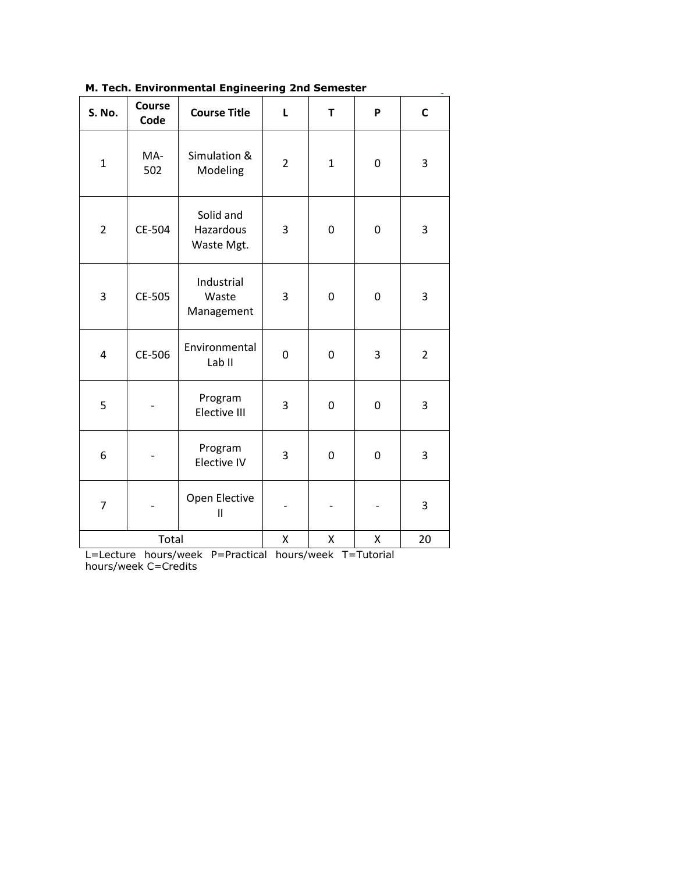| м. тесп. Environmental Engineering Znd Semester |                |                                      |                |              |   |                |
|-------------------------------------------------|----------------|--------------------------------------|----------------|--------------|---|----------------|
| S. No.                                          | Course<br>Code | <b>Course Title</b>                  | L              | T            | P | $\mathsf{C}$   |
| $\mathbf{1}$                                    | MA-<br>502     | Simulation &<br>Modeling             | $\overline{2}$ | $\mathbf{1}$ | 0 | 3              |
| $\overline{2}$                                  | CE-504         | Solid and<br>Hazardous<br>Waste Mgt. | 3              | 0            | 0 | 3              |
| 3                                               | CE-505         | Industrial<br>Waste<br>Management    | 3              | 0            | 0 | 3              |
| 4                                               | CE-506         | Environmental<br>Lab <sub>II</sub>   | 0              | $\pmb{0}$    | 3 | $\overline{2}$ |
| 5                                               |                | Program<br>Elective III              | 3              | $\mathbf 0$  | 0 | 3              |
| 6                                               |                | Program<br>Elective IV               | 3              | 0            | 0 | 3              |
| 7                                               |                | Open Elective<br>$\mathbf{II}$       |                |              |   | 3              |
| Total                                           |                |                                      | Χ              | Χ            | Χ | 20             |

**M. Tech. Environmental Engineering 2nd Semester**

L=Lecture hours/week P=Practical hours/week T=Tutorial hours/week C=Credits